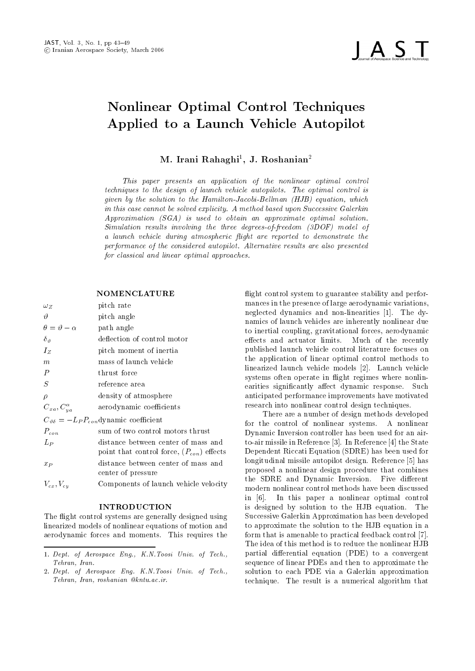

# Nonlinear Optimal Control Techniques Applied to <sup>a</sup> Launch Vehicle Autopilot

# M. Irani Rahaghi , J. Roshanian <del>-</del>

This paper presents an application of the nonlinear optimal control techniques to the design of launch vehicle autopilots- The optimal control is given by the solution to the Hamilton-Jacobi-Bellman  $(HJB)$  equation, which in this case cannot be solved explicity- A method based upon Successive Galerkin  $Approximation (SGA)$  is used to obtain an approximate optimal solution. Simulation results involving the three degrees-of-freedom  $(3DOF)$  model of a launch vehicle during atmospheric flight are reported to demonstrate the performance of the considered autopilot- Alternative results are also presented for classical and linear optimal approaches.

#### **NOMENCLATURE**

| $\omega_Z$                    | pitch rate                                                                           | mar                                 |
|-------------------------------|--------------------------------------------------------------------------------------|-------------------------------------|
| $\vartheta$                   | pitch angle                                                                          | negl                                |
| $\theta = \vartheta - \alpha$ | path angle                                                                           | nam<br>to in                        |
| $\delta_{\vartheta}$          | deflection of control motor                                                          | effeo                               |
| $I_Z$                         | pitch moment of inertia                                                              | pub                                 |
| $_{m}$                        | mass of launch vehicle                                                               | the                                 |
| $\boldsymbol{P}$              | thrust force                                                                         | linea<br>syst                       |
| S                             | reference area                                                                       | eari                                |
| $\rho$                        | density of atmosphere                                                                | anti                                |
| $C_{xa}, C_{ya}^{\alpha}$     | aerodynamic coefficients                                                             | rese                                |
|                               | $C_{\vartheta\delta} = -L_P P_{con}$ dynamic coefficient                             | for                                 |
| $P_{con}$                     | sum of two control motors thrust                                                     | $_{\rm{Dyn}}$                       |
| $L_P$                         | distance between center of mass and<br>point that control force, $(P_{con})$ effects | to-a<br>$\mathop{\rm Dep}\nolimits$ |
| $x_P$                         | distance between center of mass and<br>center of pressure                            | long<br>prop                        |
| $V_{cx}, V_{cu}$              | Components of launch vehicle velocity                                                | $_{\rm the}$                        |

#### INTRODUCTION

The flight control systems are generally designed using linearized models of nonlinear equations of motion and aerodynamic forces and moments. This requires the

flight control system to guarantee stability and performances in the presence of large aerodynamic variations neglected dynamics and non linearities 
 The dy namics of launch vehicles are inherently nonlinear due to inertial coupling, gravitational forces, aerodynamic effects and actuator limits. Much of the recently published launch vehicle control literature focuses on the application of linear optimal control methods to linearized launch vehicle models [2]. Launch vehicle systems often operate in flight regimes where nonlinearities significantly affect dynamic response. Such anticipated performance improvements have motivated research into nonlinear control design techniques 

There are a number of design methods developed for the control of nonlinear systems. A nonlinear Dynamic Inversion controller has been used for an air to air missile in Reference in Reference in Reference in Reference in Reference in Reference in Reference in R Dependent Riccati Equation (SDRE) has been used for longitudinal missile autopilot design. Reference [5] has proposed a nonlinear design procedure that combines the SDRE and Dynamic Inversion. Five different modern nonlinear control methods have been discussed in [6]. In this paper a nonlinear optimal control is designed by solution to the HJB equation. The Successive Galerkin Approximation has been developed to approximate the solution to the HJB equation in a form that is amenable to practical feedback control [7]. The idea of this method is to reduce the nonlinear HJB partial differential equation (PDE) to a convergent sequence of linear PDEs and then to approximate the solution to each PDE via a Galerkin approximation technique The result is a numerical algorithm that

are a specific that the contract and the contract of the secondary of the secondary of the secondary of the secondary of the secondary of the secondary of the secondary of the secondary of the secondary of the secondary of Tehran, Iran.

are a represent to the contract the contract the contract of the contract of the contract of the contract of t Tehran Iran roshanian kntu-ac-ir-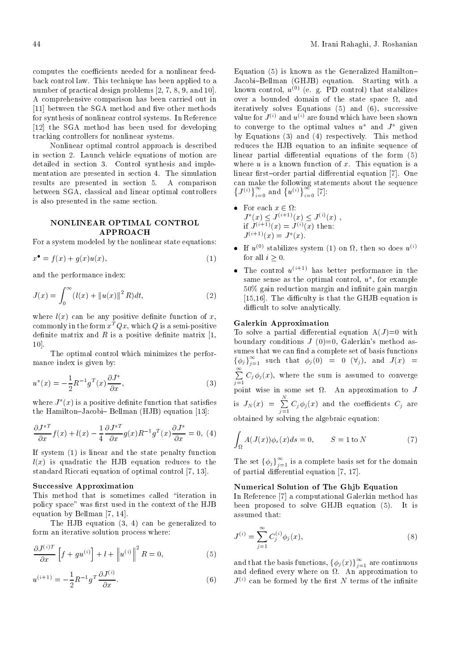back control law-technique has been applied to a technique has been applied to a technique has been applied to number of problems in the problems of problems in the problems of problems in the problems of problems in the p A comprehensive comparison has been carried out in  $[11]$  between the SGA method and five other methods for synthesis of nonlinear control systems- In Reference [12] the SGA method has been used for developing tracking controllers for nonlinear systems-

Nonlinear optimal control approach is described in section - Launch vehicle equations of motion are detailed in section - Control synthesis and imple mentation are presented in section - The simulation results are presented in section - A comparison between SGA, classical and linear optimal controllers is also presented in the same section-

## NONLINEAR OPTIMAL CONTROL APPROACH

For a system modeled by the nonlinear state equations

$$
x^{\bullet} = f(x) + g(x)u(x), \tag{1}
$$

and the performance index

$$
J(x) = \int_0^\infty (l(x) + ||u(x)||^2 R) dt,
$$
 (2)

where  $l(x)$  can be any positive definite function of x, commonly in the form  $x^T Q x$ , which Q is a semi-positive definite matrix and  $R$  is a positive definite matrix [1,  $10$ .

The optimal control which minimizes the perfor mance index is given by

$$
u^*(x) = -\frac{1}{2}R^{-1}g^T(x)\frac{\partial J^*}{\partial x},\tag{3}
$$

where  $J(x)$  is a positive definite function that satisfies  $\frac{1}{18}$ the Hamilton-Jacobi- Bellman (HJB) equation  $[13]$ :

$$
\frac{\partial J^{*T}}{\partial x} f(x) + l(x) - \frac{1}{4} \frac{\partial J^{*T}}{\partial x} g(x) R^{-1} g^{T}(x) \frac{\partial J^{*}}{\partial x} = 0, \tag{4}
$$

If system  $(1)$  is linear and the state penalty function  $l(x)$  is quadratic the HJB equation reduces to the standard Riccati equation of optimal control  $[7, 13]$ .

#### Successive Approximation

This method that is sometimes called "iteration in policy space" was first used in the context of the HJB equation by Bellman [7, 14].

The HJB equation  $(3, 4)$  can be generalized to form an iterative solution process where

$$
\frac{\partial J^{(i)T}}{\partial x} \left[ f + gu^{(i)} \right] + l + \left\| u^{(i)} \right\|^2 R = 0, \tag{5}
$$

$$
u^{(i+1)} = -\frac{1}{2}R^{-1}g^{T}\frac{\partial J^{(i)}}{\partial x}.
$$
 (6)

Equation  $(5)$  is known as the Generalized Hamilton-JacobiBellman GHJB equation- Starting with a known control,  $u \vee$  (e. g. FD control) that stabilizes over a bounded domain of the state space  $\Omega$ , and iteratively solves Equations  $(5)$  and  $(6)$ , successive value for  $J^{(i)}$  and  $u^{(i)}$  are found which have been shown to converge to the optimal values  $u^*$  and  $J^*$  given  $\mathbf{r}$   $\mathbf{r}$   $\mathbf{r}$  and  $\mathbf{r}$  and  $\mathbf{r}$   $\mathbf{r}$  and  $\mathbf{r}$  and  $\mathbf{r}$  and  $\mathbf{r}$  and  $\mathbf{r}$  and  $\mathbf{r}$ reduces the HJB equation to an innite sequence of  $\sim$ linear partial differential equations of the form  $(5)$ where  $\mathbf{u}$  is a known function of  $\mathbf{v}$  and  $\mathbf{v}$  and  $\mathbf{v}$  and  $\mathbf{v}$ linear rstorder partial dierential equation 
- One  $\left\{J^{(i)}\right\}_{i=0}^{\infty}$  and  $\left\{u^{(i)}\right\}_{i=0}^{\infty}$  [7]:

- For each  $x \in \Omega$ :  $J^*(x) \leq J^{(i+1)}(x) \leq J^{(i)}(x)$ , if  $J^{(1)}(x) = J^{(1)}(x)$  then:  $J^{++\to}(x) = J^+(x)$
- $\bullet$  If  $u^{\scriptscriptstyle (8)}$  stabilizes system (1) on  $\Omega$ , then so does  $u^{\scriptscriptstyle (8)}$ for all  $i > 0$ .
- $\bullet$  The control  $u^{\nu+1}$  has better performance in the same sense as the optimal control,  $u$  , for example  $50\%$  gain reduction margin and infinite gain margin , and diculty is the different the GHT equation is the GHT equation is the GHJB equation is the GHJB equation is difficult to solve analytically.

## Galerkin Approximation

To solve a partial differential equation  $A(J)=0$  with boundary conditions  $J(0)=0$ , Galerkin's method assumes that we can find a complete set of basis functions  $\{\phi_j\}_{j=1}^\infty$  such that  $\phi_j(0) = 0$   $(\forall_j)$ , and  $J(x) =$ P-Resident and the property of the contract of the contract of the contract of the contract of the contract of  $j=1$  for  $j$  if  $j$  if  $j$  where the sum is assumed to converge to converge to converge to converge to converge to converge to converge to converge to  $\alpha$ point wise in some set - and - and - and - and - and - and - and - and - and - and - and - and - and - and - a is  $J_N(x) = \sum_{i=1}^{n} C_i \phi_i(x)$  and the  $j=1$  and the coefficients  $j$ obtained by solving the algebraic equation

(4)  $\int_{\Omega} A(J(x)) \phi_s(x) ds = 0, \qquad S = 1 \text{ to } N$  (7)

The set  $\{\phi_j\}_{j=1}^\infty$  is a complete basis set for the domain of partial differential equation  $[7, 17]$ .

### Numerical Solution of The Ghjb Equation

In Reference [7] a computational Galerkin method has  $\mathcal{L}$  is the proposed to solve  $\mathcal{L}$  . It is in the solve  $\mathcal{L}$ assumed that

$$
J^{(i)} = \sum_{j=1}^{\infty} C_j^{(i)} \phi_j(x),
$$
 (8)

and that the basis functions,  $\{\phi_j(x)\}_{j=1}^{\infty}$  are continuous and dened every where on - An approximation to - An approximation to - An approximation to - An approximation to  $J^{(i)}$  can be formed by the first N terms of the infinite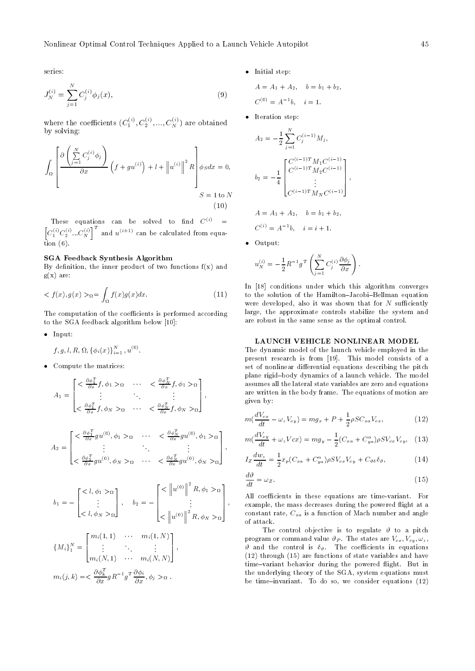series

$$
J_N^{(i)} = \sum_{j=1}^N C_j^{(i)} \phi_j(x), \tag{9}
$$

where the coefficients  $(C_1^{\vee\vee},C_2^{\vee\vee},...,C_N^{\vee\vee})$  are obtained by solving

$$
\int_{\Omega} \left[ \frac{\partial \left( \sum_{j=1}^{N} C_j^{(i)} \phi_j \right)}{\partial x} \left( f + g u^{(i)} \right) + l + \left\| u^{(i)} \right\|^2 R \right] \phi_S dx = 0, \\
S = 1 \text{ to } N \tag{10}
$$

These equations can be solved to find  $C_{\mathcal{F}} =$  $\left[C_1^{(i)}C_2^{(i)}...C_N^{(i)}\right]^T$  and  $u^{(i+1)}$  can be calculated from equa $t = t + t$ 

#### SGA Feedback Synthesis Algorithm

By definition, the inner product of two functions  $f(x)$  and  $g(x)$  are:

$$
\langle f(x), g(x) \rangle_{\Omega} = \int_{\Omega} f(x)g(x)dx. \tag{11}
$$

The computation of the coefficients is performed according to the SGA feedback algorithm below [10]:

- $\bullet$  Input:
	- $f, g, l, R, \Omega, {\phi_i(x)}_{i=1}^N, u^{(0)}.$
- $\bullet$  Compute the matrices:

$$
A_{1} = \begin{bmatrix} < \frac{\partial \phi_{1}^{T}}{\partial x} f, \phi_{1} > \alpha < \frac{\partial \phi_{N}^{T}}{\partial x} f, \phi_{1} > \alpha \\ & \vdots & & \vdots \\ & & \frac{\partial \phi_{1}^{T}}{\partial x} f, \phi_{N} > \alpha < \frac{\partial \phi_{N}^{T}}{\partial x} f, \phi_{N} > \alpha \end{bmatrix}, \qquad \begin{aligned} &\text{plane} \\ &\text{assume} \\ &\text{given} \\ &\text{given} \\ &\text{given} \\ &\text{and} \\ A_{2} = \begin{bmatrix} < \frac{\partial \phi_{1}^{T}}{\partial x} g u^{(0)}, \phi_{1} > \alpha < \frac{\partial \phi_{N}^{T}}{\partial x} g u^{(0)}, \phi_{1} > \alpha \\ & \vdots & & \vdots \\ & & \frac{\partial \phi_{1}^{T}}{\partial x} g u^{(0)}, \phi_{N} > \alpha < \frac{\partial \phi_{N}^{T}}{\partial x} g u^{(0)}, \phi_{N} > \alpha \end{bmatrix}, \qquad \begin{aligned} &\text{plane} \\ &\text{of} \\ &\text{of} \\ &\text{of} \\ &\text{of} \\ b_{1} = -\begin{bmatrix} < l, \phi_{1} > \alpha \\ & \vdots & \vdots \\ < l, \phi_{N} > \alpha \end{bmatrix}, \qquad b_{2} = -\begin{bmatrix} < \left\| u^{(0)} \right\|^{2} R, \phi_{1} > \alpha \\ &\vdots \\ & < \left\| u^{(0)} \right\|^{2} R, \phi_{1} > \alpha \end{bmatrix}, \qquad \begin{aligned} &\text{plane} \\ &\text{even} \\ &\text{even} \\ &\text{of} \\ &\text{of} \\ &\text{of} \\ &\text{of} \\ &\text{of} \\ &\text{and} \end{aligned}
$$

$$
m_i(j,k) = \frac{\partial \phi_k^T}{\partial x} g R^{-1} g^T \frac{\partial \phi_i}{\partial x}, \phi_j >_{\Omega}.
$$

 $\bullet$  Initial step:

$$
A = A_1 + A_2, \quad b = b_1 + b_2,
$$
  
\n
$$
C^{(0)} = A^{-1}b, \quad i = 1.
$$

 $\bullet$  Iteration step:

$$
A_2 = -\frac{1}{2} \sum_{j=1}^{N} C_j^{(i-1)} M_j,
$$
  
\n0,  
\n
$$
b_2 = -\frac{1}{4} \begin{bmatrix} C^{(i-1)T} M_1 C^{(i-1)} \\ C^{(i-1)T} M_2 C^{(i-1)} \\ \vdots \\ C^{(i-1)T} M_N C^{(i-1)} \end{bmatrix},
$$
  
\n
$$
A = A_1 + A_2, \quad b = b_1 + b_2,
$$
  
\n
$$
C^{(i)} = A^{-1}b, \quad i = i + 1.
$$

٠ Output

 $\cdot$   $-$ 

 $\sim$  1  $\sim$  0.000  $\sim$  0.000  $\sim$ 

$$
u_N^{(i)} = -\frac{1}{2} R^{-1} g^T \left( \sum_{j=1}^N C_j^{(i)} \frac{\partial \phi_j}{\partial x} \right).
$$

 $t_{\rm c}$  to the solution of the Hamilton sweep. Belliman equation  $\tau$ In [18] conditions under which this algorithm converges were developed, also it was shown that for  $N$  sufficiently large, the approximate controls stabilize the system and are robust in the same sense as the optimal control

#### LAUNCH VEHICLE NONLINEAR MODEL

The dynamic model of the launch vehicle employed in the present research is from preparate interest consisted at a set of nonlinear differential equations describing the pitch plane rigid did ny mpenerina arao a launch vehicle vehicle vehicles. assumes all the lateral state variables are zero and equations are written in the body framewords of motions of motions of motion are  $\sim$  $\mathcal{Q}$  is a big by  $\mathcal{Q}$  is a big by  $\mathcal{Q}$ 

$$
m\left(\frac{dV_{cx}}{dt} - \omega_z V_{cy}\right) = mg_x + P + \frac{1}{2}\rho SC_{xa}V_{cx},\tag{12}
$$

$$
m\left(\frac{dV_{cy}}{dt} + \omega_z V_{cx}\right) = m g_y - \frac{1}{2}(C_{xa} + C_{ya}^\alpha)\rho S V_{cx} V_{cy}, \quad (13)
$$

$$
I_Z \frac{dw_z}{dt} = \frac{1}{2} x_p (C_{xa} + C_{ya}^\alpha) \rho S V_{cx} V_{cy} + C_{\vartheta \delta} \delta_\vartheta, \tag{14}
$$

$$
\frac{d\vartheta}{dt} = \omega_Z. \tag{15}
$$

<sup>1</sup> of attack. All coe
cients in these equations are timevariant For  $\vert$ , example, the mass decreases during the powered flight at a constant rate,  $C_{xa}$  is a function of Mach number and angle 

> The control ob jective is to a pitch in the control objective is to a pitch in the control of  $\mathcal{C}$ program or command value <sup>P</sup> The states are Vcx Vcy z and the control is  $\eta$  . The control in equations in  $(12)$  through  $(15)$  are functions of state variables and have timevariant behavior during the powered ight But in the underlying theory of the SGA, system equations must <u> To do source the source considered</u> and the source of the source  $\{1,2,3\}$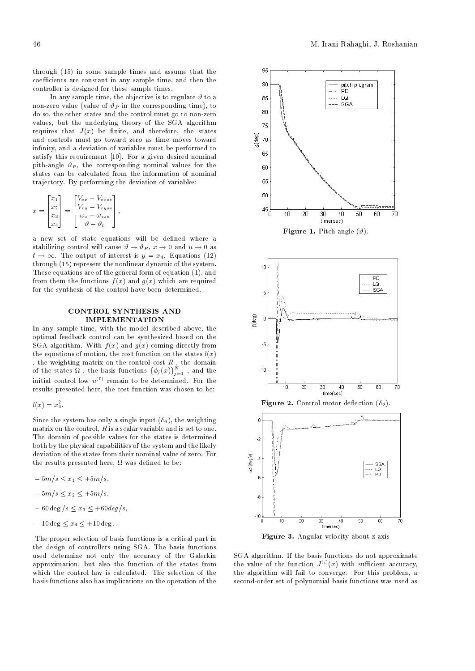through - in some sample times and assume that the coefficients are constant in any sample time, and then the controller is designed for these sample times

In any sample time, the objective is to regulate  $\vartheta$  to a non norre value , value al value corresponding time time and the corresponding time of  $\sim$ do so, the other states and the control must go to non-zero values, but the underlying theory of the SGA algorithm  $_{75}$ requires that I- part is been the states through the states of the state of the state of the state of the state of the state of the state of the state of the state of the state of the state of the state of the state of the and controls must go toward zero as time moves toward in nity and a deviation of variables must be performed to satisfy this requirement [10]. For a given desired nominal pith-angle  $\vartheta_P$ , the corresponding nominal values for the states can be calculated from the information of nominal trajectory. By performing the deviation of variables:

$$
x = \begin{bmatrix} x_1 \\ x_2 \\ x_3 \\ x_4 \end{bmatrix} = \begin{bmatrix} V_{cx} - V_{c x s s} \\ V_{c y} - V_{c y s s} \\ \omega_z - \omega_{z s s} \\ \vartheta - \vartheta_p \end{bmatrix},
$$

a new set of state equations will be denoted where a stabilizing control will cause  $v \to v_P$ ,  $x \to 0$  and  $u \to 0$  as  $t \to \infty$  . The output of interest is  $y = x_4$ . Equations (12) through - represent the nonlinear dynamic of the system These equations are of the general form of equation - and from them the functions <sup>f</sup> -x and g-x which are required for the synthesis of the control have been determined

# IMPLEMENTATION

In any sample time, with the model described above, the optimal feedback control can be synthesized based on the  $\mathcal{S}$  and  $\mathcal{S}$  are coming directly from  $\mathcal{S}$  and  $\mathcal{S}$  are coming directly from  $\mathcal{S}$ the equations of motion the cost function on the states l-x of the states  $\Omega$ , the basis functions  $\{\phi_j(x)\}_{j=1}^N$ , and the initial control low  $u^{(0)}$  remain to be determined. For the results presented here, the cost function was chosen to be:

$$
l(x) = x_4^2.
$$

 $\sim$  the system has only a single input  $\sim$   $\sim$   $\mu$  are weighting matrix on the control,  $R$  is a scalar variable and is set to one. The domain of possible values for the states is determined both by the physical capabilities of the system and the likely deviation of the states from their nominal value of zero. For the results presented here was de ned to be

 $-5m/s \le x_1 \le +5m/s$ ,  $-5m/s \leq x_2 \leq +5m/s,$  $-60 \text{ deg }$  /s  $\leq x_3 \leq +60 \text{ deg }$ /s,  $-10 \deg \leq x_4 \leq +10 \deg$ .

The proper selection of basis functions is a critical part in the design of controllers using SGA The basis functions used determine not only the accuracy of the Galerkin approximation but also the function of the states from which the control law is calculated. The selection of the basis functions also has implications on the operation of the







Figure 3. Angular velocity about z-axis

SGA algorithm. If the basis functions do not approximate the value of the function  $J^{(+)}(x)$  with sufficient accuracy, the algorithm will fail to converge. For this problem, a second-order set of polynomial basis functions was used as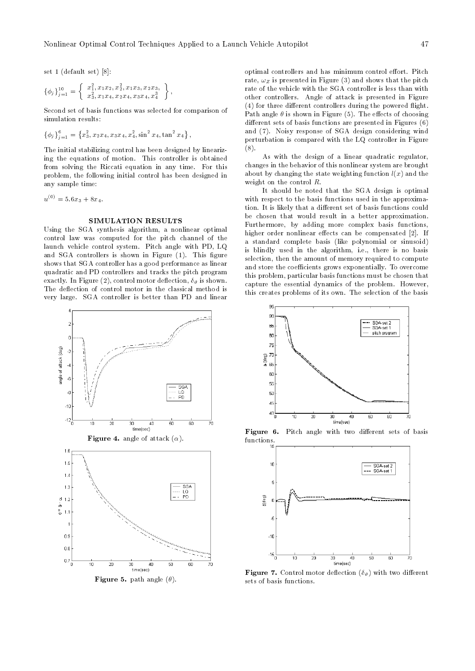set - default set - default set - default set - default set - default set - default set - default set - defaul

$$
\{\phi_j\}_{j=1}^{10} = \left\{\begin{array}{c} x_1^2, x_1x_2, x_2^2, x_1x_3, x_2x_3, \\ x_3^2, x_1x_4, x_2x_4, x_3x_4, x_4^3 \end{array}\right\},\,
$$

Second set of basis functions was selected for comparison of simulation results:

$$
\left\{\phi_j\right\}_{j=1}^6 = \left\{x_3^2, x_2x_4, x_3x_4, x_4^2, \sin^2 x_4, \tan^2 x_4\right\},\
$$

The initial stabilizing control has been designed by lineariz ing the equations of motion. This controller is obtained from solving the Riccati equation in any time For this problem the following initial control has been designed in any sample time

 $u^{y} = 5.6x_3 + 8x_4.$ 

#### SIMULATION RESULTS

Using the SGA synthesis algorithm a nonlinear optimal control law was computed for the pitch channel of the launch vehicle control system. Pitch angle with PD, LQ and SGA controllers is shown in Figure . This gure  $\mathbb{R}^n$ shows that SGA controller has a good performance as linear quadratic and PD controllers and tracks the pitch program exactly in the  $\mathcal{L}_{\mathcal{A}}$  and  $\mathcal{L}_{\mathcal{A}}$  is shown defined as shown in the shown of  $\mathcal{L}_{\mathcal{A}}$ The deflection of control motor in the classical method is very large SGA controller is better than PD and linear



**Figure 5.** path angle  $(\theta)$ .

optimal controllers and has minimum control effort. Pitch rate,  $\omega_Z$  is presented in Figure (3) and shows that the pitch rate of the vehicle with the SGA controller is less than with other controllers. Angle of attack is presented in Figure  $f(4)$  for three different controllers during the powered flight. Path angle  $\theta$  is shown in Figure (5). The effects of choosing different sets of basis functions are presented in Figures  $(6)$ and (7). Noisy response of SGA design considering wind perturbation is compared with the LQ controller in Figure  $(8).$ 

As with the design of a linear quadratic regulator changes in the behavior of this nonlinear system are brought about by changing the state weighting function  $l(x)$  and the weight on the control  $R$ .

It should be noted that the SGA design is optimal with respect to the basis functions used in the approxima tion. It is likely that a different set of basis functions could be chosen that would result in a better approximation Furthermore, by adding more complex basis functions, higher order nonlinear effects can be compensated [2]. If a standard complete basis like polynomial or sinusoid is blindly used in the algorithm, i.e., there is no basis selection, then the amount of memory required to compute and store the coefficients grows exponentially. To overcome this problem particular basis functions must be chosen that capture the essential dynamics of the problem. However, this creates problems of its own The selection of the basis



Figure 6. Pitch angle with two different sets of basis functions



Figure Control motor deection - with two dierent sets of basis functions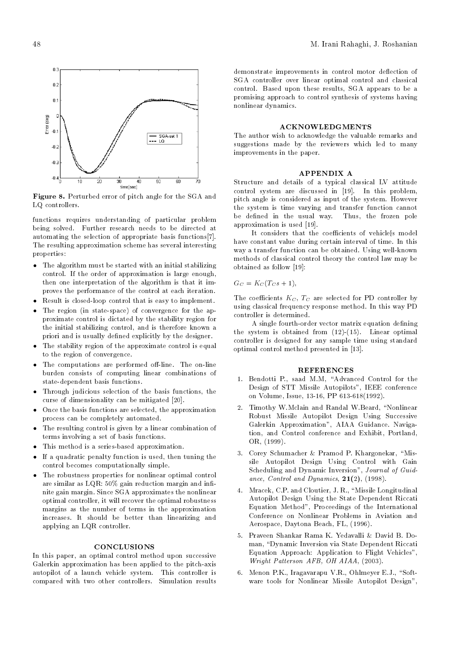

Figure - Perturbed error of pitch angle for the SGA and LQ controllers.

functions requires understanding of particular problem being solved- Further research needs to be directed at automating the selection of appropriate basis functions $[7]$ . The resulting approximation scheme has several interesting properties

- The algorithm must be started with an initial stabilizing control-term is large enough the order of approximation is large enough to approximately defined as a series of a then one interpretation of the algorithm is that it improves the performance of the control at each iteration-
- Result is closedloop control that is easy to implement-
- The region  $\{1,2,3,4,5\}$  and  $\{1,3,4,5\}$  are applied for the approximation  $\{1,2,4,5\}$ proximate control is dictated by the stability region for the initial stabilizing control, and is therefore known a priori and is usually defined explicitly by the designer.
- The stability region of the approximate control is equal to the approximate control is equal to the approximate control is equal to the approximate control is equal to the approximate control in the control is equal to th to the region of convergence.
- The computations are performed oline- The online burden consists of computing linear combinations of state-dependent basis functions.
- Through judicious selection of the basis functions the curse of dimensionality can be mitigated [20].
- Once the basis functions are selected the approximation process can be completely automated-
- The resulting control is given by a linear combination of terms involving a set of basis functions-
- This method is a seriesbased approximation-different approximation-different approximation-different approximation-
- If a quadratic penalty function is used then tuning the control becomes computationally simple-
- The robustness properties for nonlinear optimal control are similar as  $LQR$  50% gain reduction margin and infinite gain margin-armed the non-linearmed the non-marginoptimal controller, it will recover the optimal robustness margins as the number of terms in the approximation increases- It should be better than linearizing and applying an LQR controller-

#### **CONCLUSIONS**

In this paper, an optimal control method upon successive Galerkin approximation has been applied to the pitch-axis autopilot of a launch vehicle system- is a launch vehicle system- in the system- in the system- in the systemcompared with two compared compared with results-

demonstrate improvements in control motor deflection of SGA controller over linear optimal control and classical control- Based upon these results SGA appears to be a promising approach to control synthesis of systems having nonlinear dynamics-

#### ACKNOWLEDGMENTS

The author wish to acknowledge the valuable remarks and suggestions made by the reviewers which led to many improvements in the paper.

#### APPENDIX A

Structure and details of a typical classical LV attitude control system in - discussed in -pry- --- ---- problems . pitch angle is considered as input of the system- However the system is time varying and transfer function cannot be dened in the usual way-the usual way-the frozen pole in the frozen pole in the frozen pole in the frozen po approximation is used  $[19]$ .

It considers that the coefficients of vehicle[s model have constant value during certain interval of time- In this way a transfer rule of the observation can be obtained well as  $\sim$ methods of classical control theory the control law may be obtained as follow

GC KC TCs -

The coefficients  $K_C$ ,  $T_C$  are selected for PD controller by using classical frequency response method-way PDF classical frequency response method-way PDF classical frequency

A single fourth-order vector matrix equation defining the system is obtained from - Linear optimal controller is designed for any sample time using standard optimal control method presented in [13].

#### REFERENCES

- Bendotti P- saad M-M Advanced Control for the Design of STT Missile Autopilots", IEEE conference on Volume Issue is a proposal of the proposal of the proposal of the proposal of the proposal of the proposal o
- Timothy W-Mclain and Randal W-Beard Nonlinear Robust Missile Autopilot Design Using Successive Galerie Approximation Andrews Aidensity Airport tion, and Control conference and Exhibit, Portland, OR -
- Corey Schumacher Pramod P- Khargonekar Mis sile Autopilot Design Using Control with Gain Scheduling and Dynamic Inversion", Journal of Guidance Control and Dynamics -
- Mracek C-P- and Cloutier J- R- Missile Longitudinal Autopilot Design Using the State Dependent Riccati Equation Method", Proceedings of the International Conference on Nonlinear Problems in Aviation and Aerospace Daytona Beach FL -
- man, "Dynamic Inversion via State Dependent Riccati Equation Approach: Application to Flight Vehicles", Wright Patterson AFB OH AIAA -
- Menon P-K- Iragavarapu V-R- Ohlmeyer E-J- Soft ware tools for Nonlinear Missile Autopilot Design".